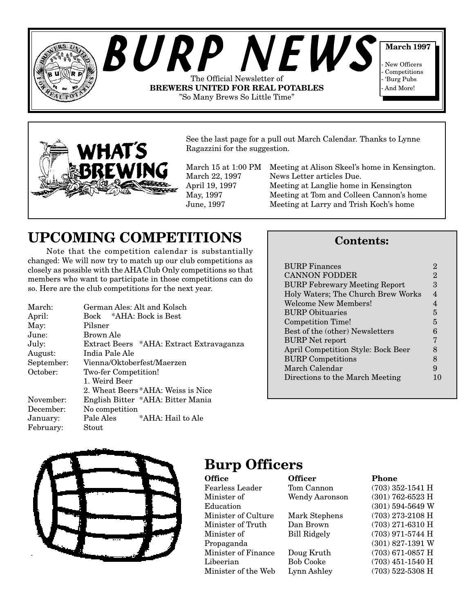



See the last page for a pull out March Calendar. Thanks to Lynne Ragazzini for the suggestion.

March 15 at 1:00 PM Meeting at Alison Skeel's home in Kensington. March 22, 1997 News Letter articles Due. April 19, 1997 Meeting at Langlie home in Kensington May, 1997 Meeting at Tom and Colleen Cannon's home June, 1997 Meeting at Larry and Trish Koch's home

# **UPCOMING COMPETITIONS**

Note that the competition calendar is substantially changed: We will now try to match up our club competitions as closely as possible with the AHA Club Only competitions so that members who want to participate in those competitions can do so. Here are the club competitions for the next year.

| March:     | German Ales: Alt and Kolsch              |  |  |
|------------|------------------------------------------|--|--|
| April:     | Bock *AHA: Bock is Best                  |  |  |
| May:       | Pilsner                                  |  |  |
| June:      | Brown Ale                                |  |  |
| July:      | Extract Beers *AHA: Extract Extravaganza |  |  |
| August:    | India Pale Ale                           |  |  |
| September: | Vienna/Oktoberfest/Maerzen               |  |  |
| October:   | Two-fer Competition!                     |  |  |
|            | 1. Weird Beer                            |  |  |
|            | 2. Wheat Beers *AHA: Weiss is Nice       |  |  |
| November:  | English Bitter *AHA: Bitter Mania        |  |  |
| December:  | No competition                           |  |  |
| January:   | Pale Ales<br>*AHA: Hail to Ale           |  |  |
| February:  | Stout                                    |  |  |

### **Contents:**

| <b>BURP</b> Finances                      | 2              |  |
|-------------------------------------------|----------------|--|
| <b>CANNON FODDER</b>                      | $\overline{2}$ |  |
| <b>BURP Febrewary Meeting Report</b>      |                |  |
| Holy Waters; The Church Brew Works        | 4              |  |
| Welcome New Members!                      | 4              |  |
| <b>BURP</b> Obituaries                    | 5              |  |
| <b>Competition Time!</b>                  | 5              |  |
| Best of the (other) Newsletters           |                |  |
| <b>BURP</b> Net report                    | 7              |  |
| <b>April Competition Style: Bock Beer</b> | 8              |  |
| <b>BURP Competitions</b>                  | 8              |  |
| March Calendar                            |                |  |
| Directions to the March Meeting           |                |  |
|                                           |                |  |



### **Burp Officers**

| <b>Officer</b>        | Phone              |
|-----------------------|--------------------|
| Tom Cannon            | $(703)$ 352-1541 H |
| <b>Wendy Aaronson</b> | $(301)$ 762-6523 H |
|                       | $(301)$ 594-5649 W |
| Mark Stephens         | $(703)$ 273-2108 H |
| Dan Brown             | $(703)$ 271-6310 H |
| <b>Bill Ridgely</b>   | $(703)$ 971-5744 H |
|                       | $(301)$ 827-1391 W |
| Doug Kruth            | $(703)$ 671-0857 H |
| <b>Bob Cooke</b>      | $(703)$ 451-1540 H |
| Lynn Ashley           | $(703)$ 522-5308 H |
|                       |                    |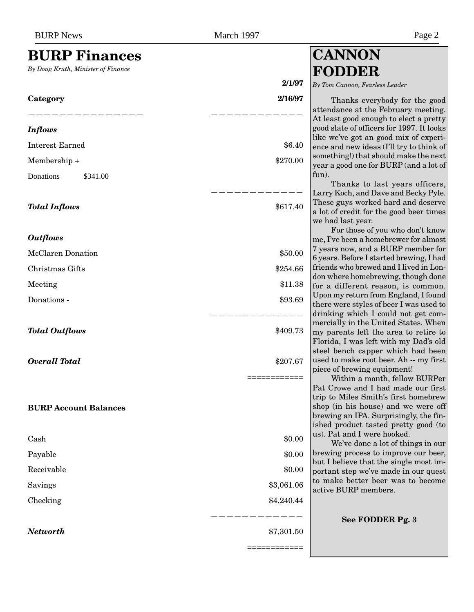### <span id="page-1-0"></span>**BURP Finances**

*By Doug Kruth, Minister of Finance*

# **2/1/97 Category 2/16/97** ——————————————— ———————————— *Inflows* Interest Earned  $\$6.40$  $\text{Membership} +$  \$270.00 Donations \$341.00 ———————————— **Total Inflows**  $\text{\$617.40}$ *Outflows* McClaren Donation  $$50.00$ Christmas Gifts  $\$254.66$  $\text{Meeting} \quad \text{\$11.38}$ Donations -  $\text{\$93.69}$ ———————————— **Total Outflows**  $\text{\$409.73}$ *Overall Total* \$207.67 ============ **BURP Account Balances**  $\cosh \theta_0$  $\begin{array}{cccc} \text{Payable} \end{array}$  $\text{Receivable} \quad \text{\$0.00}$ Savings  $\frac{$3,061.06}{2}$  $\frac{$4,240.44}{$\,}$ ———————————— *Networth* \$7,301.50 ============

# **CANNON FODDER**

*By Tom Cannon, Fearless Leader*

Thanks everybody for the good attendance at the February meeting. At least good enough to elect a pretty good slate of officers for 1997. It looks like we've got an good mix of experience and new ideas (I'll try to think of something!) that should make the next year a good one for BURP (and a lot of fun).

Thanks to last years officers, Larry Koch, and Dave and Becky Pyle. These guys worked hard and deserve a lot of credit for the good beer times we had last year.

For those of you who don't know me, I've been a homebrewer for almost 7 years now, and a BURP member for 6 years. Before I started brewing, I had friends who brewed and I lived in London where homebrewing, though done for a different reason, is common. Upon my return from England, I found there were styles of beer I was used to drinking which I could not get commercially in the United States. When my parents left the area to retire to Florida, I was left with my Dad's old steel bench capper which had been used to make root beer. Ah -- my first piece of brewing equipment!

Within a month, fellow BURPer Pat Crowe and I had made our first trip to Miles Smith's first homebrew shop (in his house) and we were off brewing an IPA. Surprisingly, the finished product tasted pretty good (to us). Pat and I were hooked.

We've done a lot of things in our brewing process to improve our beer, but I believe that the single most important step we've made in our quest to make better beer was to become active BURP members.

**See FODDER Pg. 3**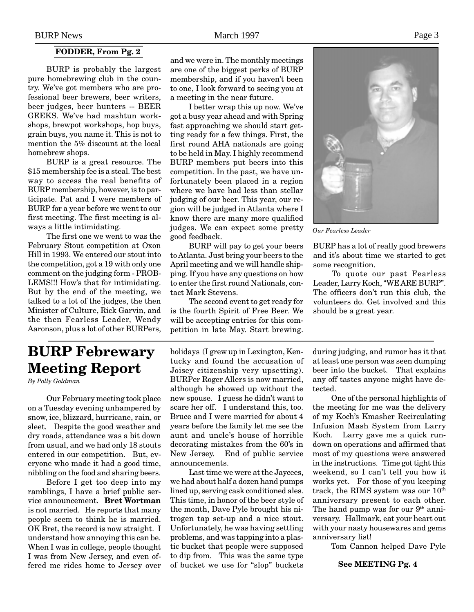#### **FODDER, From Pg. 2**

<span id="page-2-0"></span>BURP is probably the largest pure homebrewing club in the country. We've got members who are professional beer brewers, beer writers, beer judges, beer hunters -- BEER GEEKS. We've had mashtun workshops, brewpot workshops, hop buys, grain buys, you name it. This is not to mention the 5% discount at the local homebrew shops.

BURP is a great resource. The \$15 membership fee is a steal. The best way to access the real benefits of BURP membership, however, is to participate. Pat and I were members of BURP for a year before we went to our first meeting. The first meeting is always a little intimidating.

The first one we went to was the February Stout competition at Oxon Hill in 1993. We entered our stout into the competition, got a 19 with only one comment on the judging form - PROB-LEMS!!! How's that for intimidating. But by the end of the meeting, we talked to a lot of the judges, the then Minister of Culture, Rick Garvin, and the then Fearless Leader, Wendy Aaronson, plus a lot of other BURPers,

and we were in. The monthly meetings are one of the biggest perks of BURP membership, and if you haven't been to one, I look forward to seeing you at a meeting in the near future.

I better wrap this up now. We've got a busy year ahead and with Spring fast approaching we should start getting ready for a few things. First, the first round AHA nationals are going to be held in May. I highly recommend BURP members put beers into this competition. In the past, we have unfortunately been placed in a region where we have had less than stellar judging of our beer. This year, our region will be judged in Atlanta where I know there are many more qualified judges. We can expect some pretty good feedback.

BURP will pay to get your beers to Atlanta. Just bring your beers to the April meeting and we will handle shipping. If you have any questions on how to enter the first round Nationals, contact Mark Stevens.

The second event to get ready for is the fourth Spirit of Free Beer. We will be accepting entries for this competition in late May. Start brewing.



*Our Fearless Leader*

BURP has a lot of really good brewers and it's about time we started to get some recognition.

To quote our past Fearless Leader, Larry Koch, "WE ARE BURP". The officers don't run this club, the volunteers do. Get involved and this should be a great year.

## **BURP Febrewary Meeting Report**

*By Polly Goldman*

Our February meeting took place on a Tuesday evening unhampered by snow, ice, blizzard, hurricane, rain, or sleet. Despite the good weather and dry roads, attendance was a bit down from usual, and we had only 18 stouts entered in our competition. But, everyone who made it had a good time, nibbling on the food and sharing beers.

Before I get too deep into my ramblings, I have a brief public service announcement. **Bret Wortman** is not married. He reports that many people seem to think he is married. OK Bret, the record is now straight. I understand how annoying this can be. When I was in college, people thought I was from New Jersey, and even offered me rides home to Jersey over

holidays (I grew up in Lexington, Kentucky and found the accusation of Joisey citizenship very upsetting). BURPer Roger Allers is now married, although he showed up without the new spouse. I guess he didn't want to scare her off. I understand this, too. Bruce and I were married for about 4 years before the family let me see the aunt and uncle's house of horrible decorating mistakes from the 60's in New Jersey. End of public service announcements.

Last time we were at the Jaycees, we had about half a dozen hand pumps lined up, serving cask conditioned ales. This time, in honor of the beer style of the month, Dave Pyle brought his nitrogen tap set-up and a nice stout. Unfortunately, he was having settling problems, and was tapping into a plastic bucket that people were supposed to dip from. This was the same type of bucket we use for "slop" buckets during judging, and rumor has it that at least one person was seen dumping beer into the bucket. That explains any off tastes anyone might have detected.

One of the personal highlights of the meeting for me was the delivery of my Koch's Kmasher Recirculating Infusion Mash System from Larry Koch. Larry gave me a quick rundown on operations and affirmed that most of my questions were answered in the instructions. Time got tight this weekend, so I can't tell you how it works yet. For those of you keeping track, the RIMS system was our  $10^{th}$ anniversary present to each other. The hand pump was for our  $9<sup>th</sup>$  anniversary. Hallmark, eat your heart out with your nasty housewares and gems anniversary list!

Tom Cannon helped Dave Pyle

**See MEETING Pg. 4**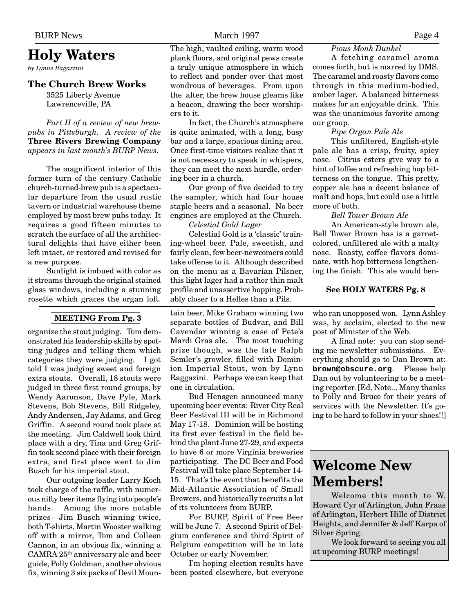### **Holy Waters**

*by Lynne Ragazzini*

#### **The Church Brew Works**

3525 Liberty Avenue Lawrenceville, PA

#### *Part II of a review of new brewpubs in Pittsburgh. A review of the* **Three Rivers Brewing Company** *appears in last month's BURP News.*

The magnificent interior of this former turn of the century Catholic church-turned-brew pub is a spectacular departure from the usual rustic tavern or industrial warehouse theme employed by most brew pubs today. It requires a good fifteen minutes to scratch the surface of all the architectural delights that have either been left intact, or restored and revised for a new purpose.

Sunlight is imbued with color as it streams through the original stained glass windows, including a stunning rosette which graces the organ loft.

#### **MEETING From Pg. 3**

organize the stout judging. Tom demonstrated his leadership skills by spotting judges and telling them which categories they were judging. I got told I was judging sweet and foreign extra stouts. Overall, 18 stouts were judged in three first round groups, by Wendy Aaronson, Dave Pyle, Mark Stevens, Bob Stevens, Bill Ridgeley, Andy Andersen, Jay Adams, and Greg Griffin. A second round took place at the meeting. Jim Caldwell took third place with a dry, Tina and Greg Griffin took second place with their foreign extra, and first place went to Jim Busch for his imperial stout.

Our outgoing leader Larry Koch took charge of the raffle, with numerous nifty beer items flying into people's hands. Among the more notable prizes—Jim Busch winning twice, both T-shirts, Martin Wooster walking off with a mirror, Tom and Colleen Cannon, in an obvious fix, winning a CAMRA 25th anniversary ale and beer guide, Polly Goldman, another obvious fix, winning 3 six packs of Devil Moun-

### <span id="page-3-0"></span>BURP News Page 4

The high, vaulted ceiling, warm wood plank floors, and original pews create a truly unique atmosphere in which to reflect and ponder over that most wondrous of beverages. From upon the alter, the brew house gleams like a beacon, drawing the beer worshipers to it.

In fact, the Church's atmosphere is quite animated, with a long, busy bar and a large, spacious dining area. Once first-time visitors realize that it is not necessary to speak in whispers, they can meet the next hurdle, ordering beer in a church.

Our group of five decided to try the sampler, which had four house staple beers and a seasonal. No beer engines are employed at the Church.

### *Celestial Gold Lager*

Celestial Gold is a 'classic' training-wheel beer. Pale, sweetish, and fairly clean, few beer-newcomers could take offense to it. Although described on the menu as a Bavarian Pilsner, this light lager had a rather thin malt profile and unassertive hopping. Probably closer to a Helles than a Pils.

tain beer, Mike Graham winning two separate bottles of Budvar, and Bill Cavendar winning a case of Pete's Mardi Gras ale. The most touching prize though, was the late Ralph Semler's growler, filled with Dominion Imperial Stout, won by Lynn Raggazini. Perhaps we can keep that one in circulation.

Bud Hensgen announced many upcoming beer events: River City Real Beer Festival III will be in Richmond May 17-18. Dominion will be hosting its first ever festival in the field behind the plant June 27-29, and expects to have 6 or more Virginia breweries participating. The DC Beer and Food Festival will take place September 14- 15. That's the event that benefits the Mid-Atlantic Association of Small Brewers, and historically recruits a lot of its volunteers from BURP.

For BURP, Spirit of Free Beer will be June 7. A second Spirit of Belgium conference and third Spirit of Belgium competition will be in late October or early November.

I'm hoping election results have been posted elsewhere, but everyone

#### *Pious Monk Dunkel*

A fetching caramel aroma comes forth, but is marred by DMS. The caramel and roasty flavors come through in this medium-bodied, amber lager. A balanced bitterness makes for an enjoyable drink. This was the unanimous favorite among our group.

#### *Pipe Organ Pale Ale*

This unfiltered, English-style pale ale has a crisp, fruity, spicy nose. Citrus esters give way to a hint of toffee and refreshing hop bitterness on the tongue. This pretty, copper ale has a decent balance of malt and hops, but could use a little more of both.

#### *Bell Tower Brown Ale*

An American-style brown ale, Bell Tower Brown has is a garnetcolored, unfiltered ale with a malty nose. Roasty, coffee flavors dominate, with hop bitterness lengthening the finish. This ale would ben-

#### **See HOLY WATERS Pg. 8**

who ran unopposed won. Lynn Ashley was, by acclaim, elected to the new post of Minister of the Web.

A final note: you can stop sending me newsletter submissions. Everything should go to Dan Brown at: **brown@obscure.org**. Please help Dan out by volunteering to be a meeting reporter. [Ed. Note... Many thanks to Polly and Bruce for their years of services with the Newsletter. It's going to be hard to follow in your shoes!!]

## **Welcome New Members!**

Welcome this month to W. Howard Cyr of Arlington, John Fraas of Arlington, Herbert Hille of District Heights, and Jennifer & Jeff Karpa of Silver Spring.

We look forward to seeing you all at upcoming BURP meetings!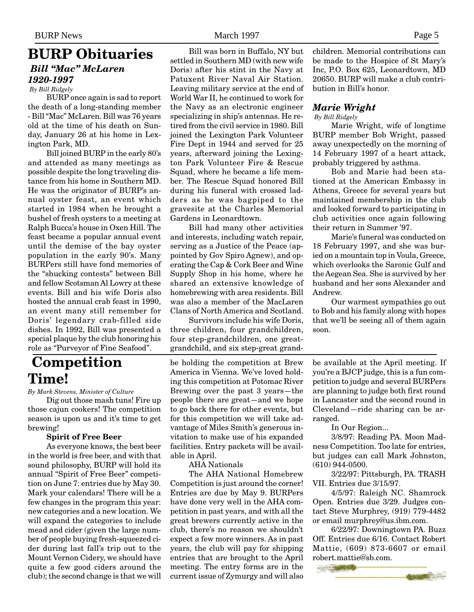### <span id="page-4-0"></span>**BURP Obituaries** *Bill "Mac" McLaren 1920-1997 By Bill Ridgely*

BURP once again is sad to report the death of a long-standing member - Bill "Mac" McLaren. Bill was 76 years old at the time of his death on Sunday, January 26 at his home in Lexington Park, MD.

Bill joined BURP in the early 80's and attended as many meetings as possible despite the long traveling distance from his home in Southern MD. He was the originator of BURP's annual oyster feast, an event which started in 1984 when he brought a bushel of fresh oysters to a meeting at Ralph Bucca's house in Oxen Hill. The feast became a popular annual event until the demise of the bay oyster population in the early 90's. Many BURPers still have fond memories of the "shucking contests" between Bill and fellow Scotsman Al Lowry at these events. Bill and his wife Doris also hosted the annual crab feast in 1990, an event many still remember for Doris' legendary crab-filled side dishes. In 1992, Bill was presented a special plaque by the club honoring his role as "Purveyor of Fine Seafood".

## **Competition Time!**

#### *By Mark Stevens, Minister of Culture*

Dig out those mash tuns! Fire up those cajun cookers! The competition season is upon us and it's time to get brewing!

#### **Spirit of Free Beer**

As everyone knows, the best beer in the world is free beer, and with that sound philosophy, BURP will hold its annual "Spirit of Free Beer" competition on June 7: entries due by May 30. Mark your calendars! There will be a few changes in the program this year: new categories and a new location. We will expand the categories to include mead and cider (given the large number of people buying fresh-squeezed cider during last fall's trip out to the Mount Vernon Cidery, we should have quite a few good ciders around the club); the second change is that we will

Bill was born in Buffalo, NY but settled in Southern MD (with new wife Doris) after his stint in the Navy at Patuxent River Naval Air Station. Leaving military service at the end of World War II, he continued to work for the Navy as an electronic engineer specializing in ship's antennas. He retired from the civil service in 1980. Bill joined the Lexington Park Volunteer Fire Dept in 1944 and served for 25 years, afterward joining the Lexington Park Volunteer Fire & Rescue Squad, where he became a life member. The Rescue Squad honored Bill during his funeral with crossed ladders as he was bagpiped to the gravesite at the Charles Memorial Gardens in Leonardtown.

Bill had many other activities and interests, including watch repair, serving as a Justice of the Peace (appointed by Gov Spiro Agnew), and operating the Cap & Cork Beer and Wine Supply Shop in his home, where he shared an extensive knowledge of homebrewing with area residents. Bill was also a member of the MacLaren Clans of North America and Scotland.

Survivors include his wife Doris, three children, four grandchildren, four step-grandchildren, one greatgrandchild, and six step-great grand-

be holding the competition at Brew America in Vienna. We've loved holding this competition at Potomac River Brewing over the past 3 years—the people there are great—and we hope to go back there for other events, but for this competition we will take advantage of Miles Smith's generous invitation to make use of his expanded facilities. Entry packets will be available in April.

AHA Nationals

The AHA National Homebrew Competition is just around the corner! Entries are due by May 9. BURPers have done very well in the AHA competition in past years, and with all the great brewers currently active in the club, there's no reason we shouldn't expect a few more winners. As in past years, the club will pay for shipping entries that are brought to the April meeting. The entry forms are in the current issue of Zymurgy and will also

children. Memorial contributions can be made to the Hospice of St Mary's Inc, P.O. Box 625, Leonardtown, MD 20650. BURP will make a club contribution in Bill's honor.

### *Marie Wright*

 *By Bill Ridgely*

Marie Wright, wife of longtime BURP member Bob Wright, passed away unexpectedly on the morning of 14 February 1997 of a heart attack, probably triggered by asthma.

Bob and Marie had been stationed at the American Embassy in Athens, Greece for several years but maintained membership in the club and looked forward to participating in club activities once again following their return in Summer '97.

Marie's funeral was conducted on 18 February 1997, and she was buried on a mountain top in Voula, Greece, which overlooks the Saronic Gulf and the Aegean Sea. She is survived by her husband and her sons Alexander and Andrew.

Our warmest sympathies go out to Bob and his family along with hopes that we'll be seeing all of them again soon.

be available at the April meeting. If you're a BJCP judge, this is a fun competition to judge and several BURPers are planning to judge both first round in Lancaster and the second round in Cleveland—ride sharing can be arranged.

In Our Region...

3/8/97: Reading PA. Moon Madness Competition. Too late for entries, but judges can call Mark Johnston, (610) 944-0500.

3/22/97: Pittsburgh, PA. TRASH VII. Entries due 3/15/97.

4/5/97: Raleigh NC. Shamrock Open. Entries due 3/29. Judges contact Steve Murphrey, (919) 779-4482 or email murphrey@us.ibm.com.

6/22/97: Downingtown PA. Buzz Off. Entries due 6/16. Contact Robert Mattie, (609) 873-6607 or email robert.mattie@sb.com.

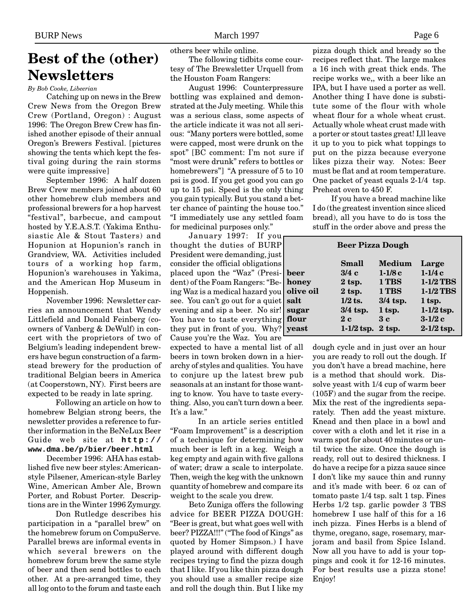# <span id="page-5-0"></span>**Best of the (other) Newsletters**

*By Bob Cooke, Libeerian*

Catching up on news in the Brew Crew News from the Oregon Brew Crew (Portland, Oregon) : August 1996: The Oregon Brew Crew has finished another episode of their annual Oregon's Brewers Festival. [pictures showing the tents which kept the festival going during the rain storms were quite impressive]

September 1996: A half dozen Brew Crew members joined about 60 other homebrew club members and professional brewers for a hop harvest "festival", barbecue, and campout hosted by Y.E.A.S.T. (Yakima Enthusiastic Ale & Stout Tasters) and Hopunion at Hopunion's ranch in Grandview, WA. Activities included tours of a working hop farm, Hopunion's warehouses in Yakima, and the American Hop Museum in Hoppenish.

November 1996: Newsletter carries an announcement that Wendy Littlefield and Donald Feinberg (coowners of Vanberg & DeWulf) in concert with the proprietors of two of Belgium's leading independent brewers have begun construction of a farmstead brewery for the production of traditional Belgian beers in America (at Cooperstown, NY). First beers are expected to be ready in late spring.

Following an article on how to homebrew Belgian strong beers, the newsletter provides a reference to further information in the BeNeLux Beer Guide web site at **http:// www.dma.be/p/bier/beer.html**

December 1996: AHA has established five new beer styles: Americanstyle Pilsener, American-style Barley Wine, American Amber Ale, Brown Porter, and Robust Porter. Descriptions are in the Winter 1996 Zymurgy.

Don Rutledge describes his participation in a "parallel brew" on the homebrew forum on CompuServe. Parallel brews are informal events in which several brewers on the homebrew forum brew the same style of beer and then send bottles to each other. At a pre-arranged time, they all log onto to the forum and taste each

others beer while online.

The following tidbits come courtesy of The Brewsletter Urquell from the Houston Foam Rangers:

August 1996: Counterpressure bottling was explained and demonstrated at the July meeting. While this was a serious class, some aspects of the article indicate it was not all serious: "Many porters were bottled, some were capped, most were drunk on the spot" [BC comment: I'm not sure if "most were drunk" refers to bottles or homebrewers"] "A pressure of 5 to 10 psi is good. If you get good you can go up to 15 psi. Speed is the only thing you gain typically. But you stand a better chance of painting the house too." "I immediately use any settled foam for medicinal purposes only."

January 1997: If you thought the duties of BURP President were demanding, just consider the official obligations placed upon the "Waz" (President) of the Foam Rangers: "Being Waz is a medical hazard you see. You can't go out for a quiet evening and sip a beer. No sir! su You have to taste everything flo they put in front of you. Why?  $y\in$ 

Cause you're the Waz. You are expected to have a mental list of all beers in town broken down in a hierarchy of styles and qualities. You have to conjure up the latest brew pub seasonals at an instant for those wanting to know. You have to taste everything. Also, you can't turn down a beer. It's a law."

In an article series entitled "Foam Improvement" is a description of a technique for determining how much beer is left in a keg. Weigh a keg empty and again with five gallons of water; draw a scale to interpolate. Then, weigh the keg with the unknown quantity of homebrew and compare its weight to the scale you drew.

Beto Zuniga offers the following advice for BEER PIZZA DOUGH: "Beer is great, but what goes well with beer? PIZZA!!!" ("The food of Kings" as quoted by Homer Simpson.) I have played around with different dough recipes trying to find the pizza dough that I like. If you like thin pizza dough you should use a smaller recipe size and roll the dough thin. But I like my

pizza dough thick and bready so the recipes reflect that. The large makes a 16 inch with great thick ends. The recipe works we,, with a beer like an IPA, but I have used a porter as well. Another thing I have done is substitute some of the flour with whole wheat flour for a whole wheat crust. Actually whole wheat crust made with a porter or stout tastes great! I, ll leave it up to you to pick what toppings to put on the pizza because everyone likes pizza their way. Notes: Beer must be flat and at room temperature. One packet of yeast equals 2-1/4 tsp. Preheat oven to 450 F.

If you have a bread machine like I do (the greatest invention since sliced bread), all you have to do is toss the stuff in the order above and press the

| <b>Beer Pizza Dough</b> |              |               |              |  |  |
|-------------------------|--------------|---------------|--------------|--|--|
|                         | <b>Small</b> | <b>Medium</b> | Large        |  |  |
| beer                    | 3/4c         | $1-1/8c$      | $1-1/4c$     |  |  |
| honey                   | $2$ tsp.     | 1 TBS         | 1-1/2 TBS    |  |  |
| olive oil               | $2$ tsp.     | 1 TBS         | $1-1/2$ TBS  |  |  |
| salt                    | $1/2$ ts.    | $3/4$ tsp.    | 1 tsp.       |  |  |
| sugar                   | $3/4$ tsp.   | 1 tsp.        | $1-1/2$ tsp. |  |  |
| flour                   | 2c           | 3c            | $3-1/2c$     |  |  |
| yeast                   | $1-1/2$ tsp. | $2$ tsp.      | $2-1/2$ tsp. |  |  |

dough cycle and in just over an hour you are ready to roll out the dough. If you don't have a bread machine, here is a method that should work. Dissolve yeast with 1/4 cup of warm beer (105F) and the sugar from the recipe. Mix the rest of the ingredients separately. Then add the yeast mixture. Knead and then place in a bowl and cover with a cloth and let it rise in a warm spot for about 40 minutes or until twice the size. Once the dough is ready, roll out to desired thickness. I do have a recipe for a pizza sauce since I don't like my sauce thin and runny and it's made with beer. 6 oz can of tomato paste 1/4 tsp. salt 1 tsp. Fines Herbs 1/2 tsp. garlic powder 3 TBS homebrew I use half of this for a 16 inch pizza. Fines Herbs is a blend of thyme, oregano, sage, rosemary, marjoram and basil from Spice Island. Now all you have to add is your toppings and cook it for 12-16 minutes. For best results use a pizza stone! Enjoy!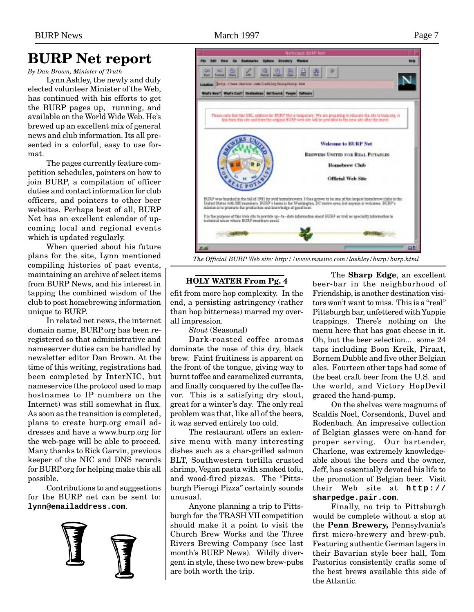### <span id="page-6-0"></span>**BURP Net report**

*By Dan Brown, Minister of Truth*

Lynn Ashley, the newly and duly elected volunteer Minister of the Web, has continued with his efforts to get the BURP pages up, running, and available on the World Wide Web. He's brewed up an excellent mix of general news and club information. Its all presented in a colorful, easy to use format.

The pages currently feature competition schedules, pointers on how to join BURP, a compilation of officer duties and contact information for club officers, and pointers to other beer websites. Perhaps best of all, BURP Net has an excellent calendar of upcoming local and regional events which is updated regularly.

When queried about his future plans for the site, Lynn mentioned compiling histories of past events, maintaining an archive of select items from BURP News, and his interest in tapping the combined wisdom of the club to post homebrewing information unique to BURP.

In related net news, the internet domain name, BURP.org has been reregistered so that administrative and nameserver duties can be handled by newsletter editor Dan Brown. At the time of this writing, registrations had been completed by InterNIC, but nameservice (the protocol used to map hostnames to IP numbers on the Internet) was still somewhat in flux. As soon as the transition is completed, plans to create burp.org email addresses and have a www.burp.org for the web-page will be able to proceed. Many thanks to Rick Garvin, previous keeper of the NIC and DNS records for BURP.org for helping make this all possible.

Contributions to and suggestions for the BURP net can be sent to: **lynn@emailaddress.com**.





### **HOLY WATER From Pg. 4**

efit from more hop complexity. In the end, a persisting astringency (rather than hop bitterness) marred my overall impression.

*Stout* (Seasonal)

Dark-roasted coffee aromas dominate the nose of this dry, black brew. Faint fruitiness is apparent on the front of the tongue, giving way to burnt toffee and caramelized currants, and finally conquered by the coffee flavor. This is a satisfying dry stout, great for a winter's day. The only real problem was that, like all of the beers, it was served entirely too cold.

The restaurant offers an extensive menu with many interesting dishes such as a char-grilled salmon BLT, Southwestern tortilla crusted shrimp, Vegan pasta with smoked tofu, and wood-fired pizzas. The "Pittsburgh Pierogi Pizza" certainly sounds unusual.

Anyone planning a trip to Pittsburgh for the TRASH VII competition should make it a point to visit the Church Brew Works and the Three Rivers Brewing Company (see last month's BURP News). Wildly divergent in style, these two new brew-pubs are both worth the trip.

The **Sharp Edge**, an excellent beer-bar in the neighborhood of Friendship, is another destination visitors won't want to miss. This is a "real" Pittsburgh bar, unfettered with Yuppie trappings. There's nothing on the menu here that has goat cheese in it. Oh, but the beer selection... some 24 taps including Boon Kreik, Piraat, Bornem Dubble and five other Belgian ales. Fourteen other taps had some of the best craft beer from the U.S. and the world, and Victory HopDevil graced the hand-pump.

On the shelves were magnums of Scaldis Noel, Corsendonk, Duvel and Rodenbach. An impressive collection of Belgian glasses were on-hand for proper serving. Our bartender, Charlene, was extremely knowledgeable about the beers and the owner, Jeff, has essentially devoted his life to the promotion of Belgian beer. Visit their Web site at **http:// sharpedge.pair.com**.

Finally, no trip to Pittsburgh would be complete without a stop at the **Penn Brewery,** Pennsylvania's first micro-brewery and brew-pub. Featuring authentic German lagers in their Bavarian style beer hall, Tom Pastorius consistently crafts some of the best brews available this side of the Atlantic.